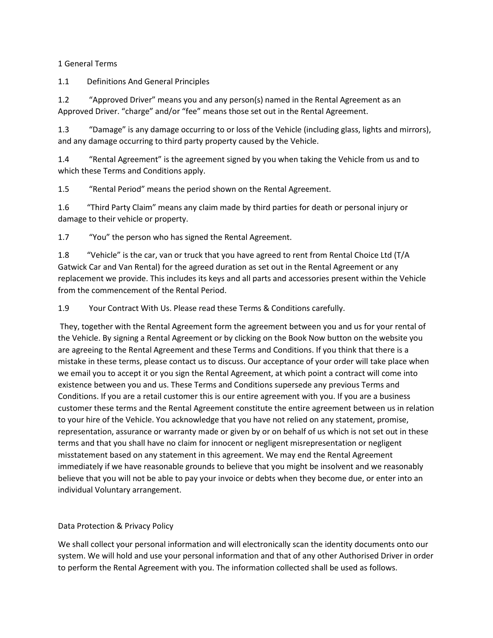# 1 General Terms

1.1 Definitions And General Principles

1.2 "Approved Driver" means you and any person(s) named in the Rental Agreement as an Approved Driver. "charge" and/or "fee" means those set out in the Rental Agreement.

1.3 "Damage" is any damage occurring to or loss of the Vehicle (including glass, lights and mirrors), and any damage occurring to third party property caused by the Vehicle.

1.4 "Rental Agreement" is the agreement signed by you when taking the Vehicle from us and to which these Terms and Conditions apply.

1.5 "Rental Period" means the period shown on the Rental Agreement.

1.6 "Third Party Claim" means any claim made by third parties for death or personal injury or damage to their vehicle or property.

1.7 "You" the person who has signed the Rental Agreement.

1.8 "Vehicle" is the car, van or truck that you have agreed to rent from Rental Choice Ltd (T/A Gatwick Car and Van Rental) for the agreed duration as set out in the Rental Agreement or any replacement we provide. This includes its keys and all parts and accessories present within the Vehicle from the commencement of the Rental Period.

1.9 Your Contract With Us. Please read these Terms & Conditions carefully.

They, together with the Rental Agreement form the agreement between you and us for your rental of the Vehicle. By signing a Rental Agreement or by clicking on the Book Now button on the website you are agreeing to the Rental Agreement and these Terms and Conditions. If you think that there is a mistake in these terms, please contact us to discuss. Our acceptance of your order will take place when we email you to accept it or you sign the Rental Agreement, at which point a contract will come into existence between you and us. These Terms and Conditions supersede any previous Terms and Conditions. If you are a retail customer this is our entire agreement with you. If you are a business customer these terms and the Rental Agreement constitute the entire agreement between us in relation to your hire of the Vehicle. You acknowledge that you have not relied on any statement, promise, representation, assurance or warranty made or given by or on behalf of us which is not set out in these terms and that you shall have no claim for innocent or negligent misrepresentation or negligent misstatement based on any statement in this agreement. We may end the Rental Agreement immediately if we have reasonable grounds to believe that you might be insolvent and we reasonably believe that you will not be able to pay your invoice or debts when they become due, or enter into an individual Voluntary arrangement.

# Data Protection & Privacy Policy

We shall collect your personal information and will electronically scan the identity documents onto our system. We will hold and use your personal information and that of any other Authorised Driver in order to perform the Rental Agreement with you. The information collected shall be used as follows.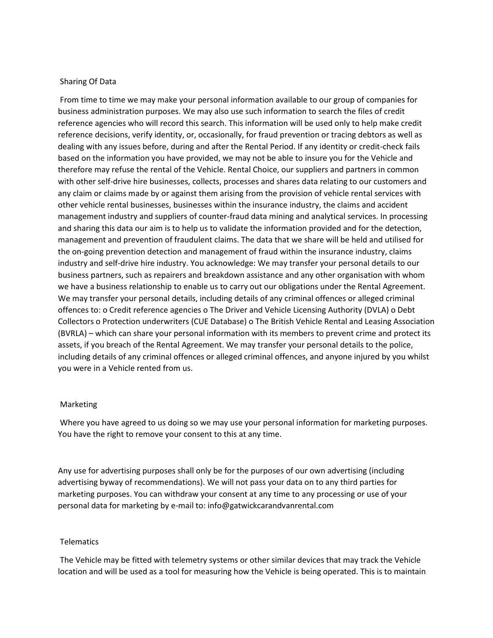### Sharing Of Data

From time to time we may make your personal information available to our group of companies for business administration purposes. We may also use such information to search the files of credit reference agencies who will record this search. This information will be used only to help make credit reference decisions, verify identity, or, occasionally, for fraud prevention or tracing debtors as well as dealing with any issues before, during and after the Rental Period. If any identity or credit-check fails based on the information you have provided, we may not be able to insure you for the Vehicle and therefore may refuse the rental of the Vehicle. Rental Choice, our suppliers and partners in common with other self-drive hire businesses, collects, processes and shares data relating to our customers and any claim or claims made by or against them arising from the provision of vehicle rental services with other vehicle rental businesses, businesses within the insurance industry, the claims and accident management industry and suppliers of counter-fraud data mining and analytical services. In processing and sharing this data our aim is to help us to validate the information provided and for the detection, management and prevention of fraudulent claims. The data that we share will be held and utilised for the on-going prevention detection and management of fraud within the insurance industry, claims industry and self-drive hire industry. You acknowledge: We may transfer your personal details to our business partners, such as repairers and breakdown assistance and any other organisation with whom we have a business relationship to enable us to carry out our obligations under the Rental Agreement. We may transfer your personal details, including details of any criminal offences or alleged criminal offences to: o Credit reference agencies o The Driver and Vehicle Licensing Authority (DVLA) o Debt Collectors o Protection underwriters (CUE Database) o The British Vehicle Rental and Leasing Association (BVRLA) – which can share your personal information with its members to prevent crime and protect its assets, if you breach of the Rental Agreement. We may transfer your personal details to the police, including details of any criminal offences or alleged criminal offences, and anyone injured by you whilst you were in a Vehicle rented from us.

#### Marketing

Where you have agreed to us doing so we may use your personal information for marketing purposes. You have the right to remove your consent to this at any time.

Any use for advertising purposes shall only be for the purposes of our own advertising (including advertising byway of recommendations). We will not pass your data on to any third parties for marketing purposes. You can withdraw your consent at any time to any processing or use of your personal data for marketing by e-mail to: info@gatwickcarandvanrental.com

#### Telematics

The Vehicle may be fitted with telemetry systems or other similar devices that may track the Vehicle location and will be used as a tool for measuring how the Vehicle is being operated. This is to maintain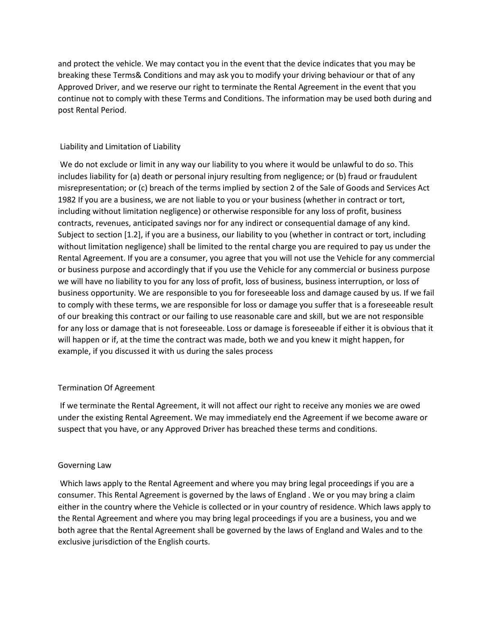and protect the vehicle. We may contact you in the event that the device indicates that you may be breaking these Terms& Conditions and may ask you to modify your driving behaviour or that of any Approved Driver, and we reserve our right to terminate the Rental Agreement in the event that you continue not to comply with these Terms and Conditions. The information may be used both during and post Rental Period.

# Liability and Limitation of Liability

We do not exclude or limit in any way our liability to you where it would be unlawful to do so. This includes liability for (a) death or personal injury resulting from negligence; or (b) fraud or fraudulent misrepresentation; or (c) breach of the terms implied by section 2 of the Sale of Goods and Services Act 1982 If you are a business, we are not liable to you or your business (whether in contract or tort, including without limitation negligence) or otherwise responsible for any loss of profit, business contracts, revenues, anticipated savings nor for any indirect or consequential damage of any kind. Subject to section [1.2], if you are a business, our liability to you (whether in contract or tort, including without limitation negligence) shall be limited to the rental charge you are required to pay us under the Rental Agreement. If you are a consumer, you agree that you will not use the Vehicle for any commercial or business purpose and accordingly that if you use the Vehicle for any commercial or business purpose we will have no liability to you for any loss of profit, loss of business, business interruption, or loss of business opportunity. We are responsible to you for foreseeable loss and damage caused by us. If we fail to comply with these terms, we are responsible for loss or damage you suffer that is a foreseeable result of our breaking this contract or our failing to use reasonable care and skill, but we are not responsible for any loss or damage that is not foreseeable. Loss or damage is foreseeable if either it is obvious that it will happen or if, at the time the contract was made, both we and you knew it might happen, for example, if you discussed it with us during the sales process

# Termination Of Agreement

If we terminate the Rental Agreement, it will not affect our right to receive any monies we are owed under the existing Rental Agreement. We may immediately end the Agreement if we become aware or suspect that you have, or any Approved Driver has breached these terms and conditions.

# Governing Law

Which laws apply to the Rental Agreement and where you may bring legal proceedings if you are a consumer. This Rental Agreement is governed by the laws of England . We or you may bring a claim either in the country where the Vehicle is collected or in your country of residence. Which laws apply to the Rental Agreement and where you may bring legal proceedings if you are a business, you and we both agree that the Rental Agreement shall be governed by the laws of England and Wales and to the exclusive jurisdiction of the English courts.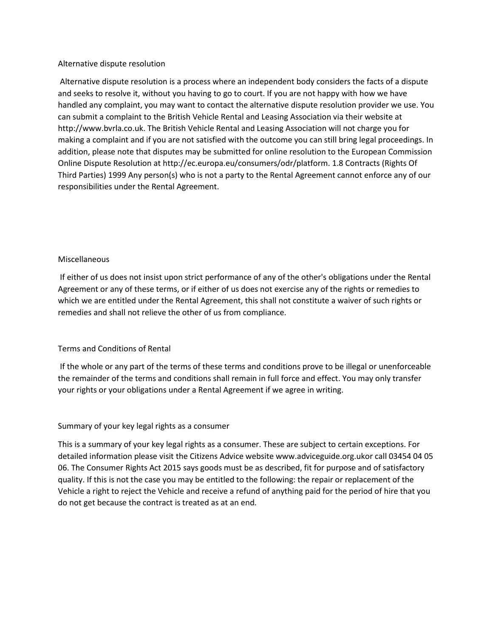## Alternative dispute resolution

Alternative dispute resolution is a process where an independent body considers the facts of a dispute and seeks to resolve it, without you having to go to court. If you are not happy with how we have handled any complaint, you may want to contact the alternative dispute resolution provider we use. You can submit a complaint to the British Vehicle Rental and Leasing Association via their website at http://www.bvrla.co.uk. The British Vehicle Rental and Leasing Association will not charge you for making a complaint and if you are not satisfied with the outcome you can still bring legal proceedings. In addition, please note that disputes may be submitted for online resolution to the European Commission Online Dispute Resolution at http://ec.europa.eu/consumers/odr/platform. 1.8 Contracts (Rights Of Third Parties) 1999 Any person(s) who is not a party to the Rental Agreement cannot enforce any of our responsibilities under the Rental Agreement.

# Miscellaneous

If either of us does not insist upon strict performance of any of the other's obligations under the Rental Agreement or any of these terms, or if either of us does not exercise any of the rights or remedies to which we are entitled under the Rental Agreement, this shall not constitute a waiver of such rights or remedies and shall not relieve the other of us from compliance.

#### Terms and Conditions of Rental

If the whole or any part of the terms of these terms and conditions prove to be illegal or unenforceable the remainder of the terms and conditions shall remain in full force and effect. You may only transfer your rights or your obligations under a Rental Agreement if we agree in writing.

### Summary of your key legal rights as a consumer

This is a summary of your key legal rights as a consumer. These are subject to certain exceptions. For detailed information please visit the Citizens Advice website www.adviceguide.org.ukor call 03454 04 05 06. The Consumer Rights Act 2015 says goods must be as described, fit for purpose and of satisfactory quality. If this is not the case you may be entitled to the following: the repair or replacement of the Vehicle a right to reject the Vehicle and receive a refund of anything paid for the period of hire that you do not get because the contract is treated as at an end.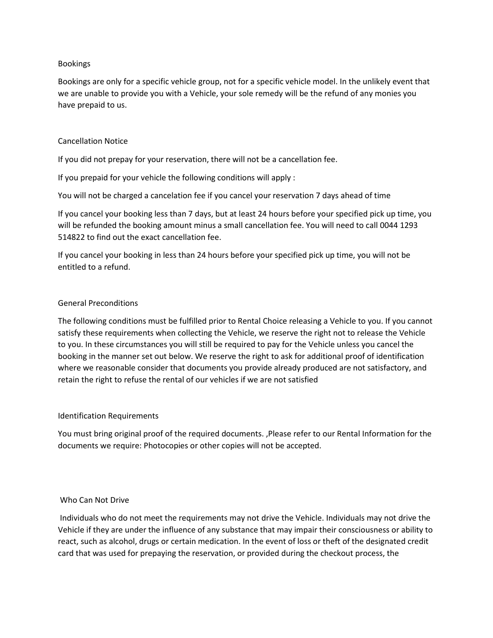## Bookings

Bookings are only for a specific vehicle group, not for a specific vehicle model. In the unlikely event that we are unable to provide you with a Vehicle, your sole remedy will be the refund of any monies you have prepaid to us.

# Cancellation Notice

If you did not prepay for your reservation, there will not be a cancellation fee.

If you prepaid for your vehicle the following conditions will apply :

You will not be charged a cancelation fee if you cancel your reservation 7 days ahead of time

If you cancel your booking less than 7 days, but at least 24 hours before your specified pick up time, you will be refunded the booking amount minus a small cancellation fee. You will need to call 0044 1293 514822 to find out the exact cancellation fee.

If you cancel your booking in less than 24 hours before your specified pick up time, you will not be entitled to a refund.

# General Preconditions

The following conditions must be fulfilled prior to Rental Choice releasing a Vehicle to you. If you cannot satisfy these requirements when collecting the Vehicle, we reserve the right not to release the Vehicle to you. In these circumstances you will still be required to pay for the Vehicle unless you cancel the booking in the manner set out below. We reserve the right to ask for additional proof of identification where we reasonable consider that documents you provide already produced are not satisfactory, and retain the right to refuse the rental of our vehicles if we are not satisfied

# Identification Requirements

You must bring original proof of the required documents. ,Please refer to our Rental Information for the documents we require: Photocopies or other copies will not be accepted.

# Who Can Not Drive

Individuals who do not meet the requirements may not drive the Vehicle. Individuals may not drive the Vehicle if they are under the influence of any substance that may impair their consciousness or ability to react, such as alcohol, drugs or certain medication. In the event of loss or theft of the designated credit card that was used for prepaying the reservation, or provided during the checkout process, the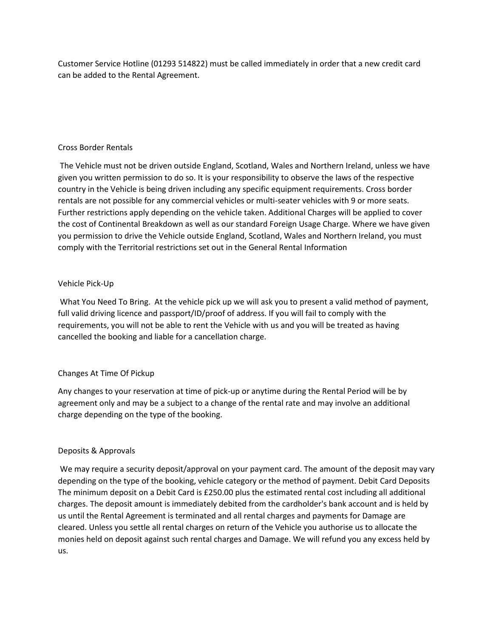Customer Service Hotline (01293 514822) must be called immediately in order that a new credit card can be added to the Rental Agreement.

# Cross Border Rentals

The Vehicle must not be driven outside England, Scotland, Wales and Northern Ireland, unless we have given you written permission to do so. It is your responsibility to observe the laws of the respective country in the Vehicle is being driven including any specific equipment requirements. Cross border rentals are not possible for any commercial vehicles or multi-seater vehicles with 9 or more seats. Further restrictions apply depending on the vehicle taken. Additional Charges will be applied to cover the cost of Continental Breakdown as well as our standard Foreign Usage Charge. Where we have given you permission to drive the Vehicle outside England, Scotland, Wales and Northern Ireland, you must comply with the Territorial restrictions set out in the General Rental Information

# Vehicle Pick-Up

What You Need To Bring. At the vehicle pick up we will ask you to present a valid method of payment, full valid driving licence and passport/ID/proof of address. If you will fail to comply with the requirements, you will not be able to rent the Vehicle with us and you will be treated as having cancelled the booking and liable for a cancellation charge.

# Changes At Time Of Pickup

Any changes to your reservation at time of pick-up or anytime during the Rental Period will be by agreement only and may be a subject to a change of the rental rate and may involve an additional charge depending on the type of the booking.

# Deposits & Approvals

We may require a security deposit/approval on your payment card. The amount of the deposit may vary depending on the type of the booking, vehicle category or the method of payment. Debit Card Deposits The minimum deposit on a Debit Card is £250.00 plus the estimated rental cost including all additional charges. The deposit amount is immediately debited from the cardholder's bank account and is held by us until the Rental Agreement is terminated and all rental charges and payments for Damage are cleared. Unless you settle all rental charges on return of the Vehicle you authorise us to allocate the monies held on deposit against such rental charges and Damage. We will refund you any excess held by us.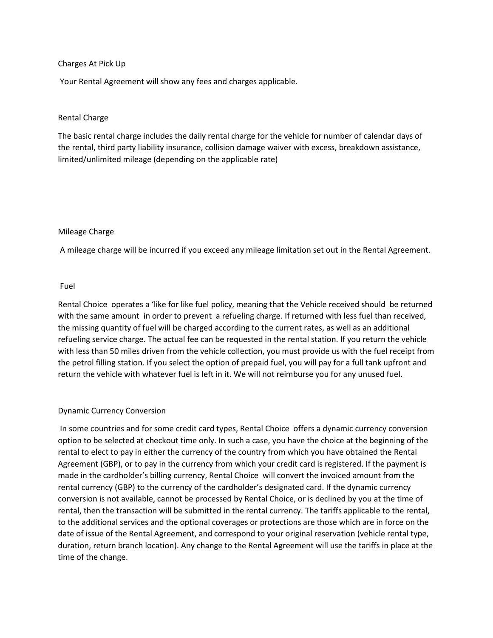### Charges At Pick Up

Your Rental Agreement will show any fees and charges applicable.

## Rental Charge

The basic rental charge includes the daily rental charge for the vehicle for number of calendar days of the rental, third party liability insurance, collision damage waiver with excess, breakdown assistance, limited/unlimited mileage (depending on the applicable rate)

### Mileage Charge

A mileage charge will be incurred if you exceed any mileage limitation set out in the Rental Agreement.

### Fuel

Rental Choice operates a 'like for like fuel policy, meaning that the Vehicle received should be returned with the same amount in order to prevent a refueling charge. If returned with less fuel than received, the missing quantity of fuel will be charged according to the current rates, as well as an additional refueling service charge. The actual fee can be requested in the rental station. If you return the vehicle with less than 50 miles driven from the vehicle collection, you must provide us with the fuel receipt from the petrol filling station. If you select the option of prepaid fuel, you will pay for a full tank upfront and return the vehicle with whatever fuel is left in it. We will not reimburse you for any unused fuel.

# Dynamic Currency Conversion

In some countries and for some credit card types, Rental Choice offers a dynamic currency conversion option to be selected at checkout time only. In such a case, you have the choice at the beginning of the rental to elect to pay in either the currency of the country from which you have obtained the Rental Agreement (GBP), or to pay in the currency from which your credit card is registered. If the payment is made in the cardholder's billing currency, Rental Choice will convert the invoiced amount from the rental currency (GBP) to the currency of the cardholder's designated card. If the dynamic currency conversion is not available, cannot be processed by Rental Choice, or is declined by you at the time of rental, then the transaction will be submitted in the rental currency. The tariffs applicable to the rental, to the additional services and the optional coverages or protections are those which are in force on the date of issue of the Rental Agreement, and correspond to your original reservation (vehicle rental type, duration, return branch location). Any change to the Rental Agreement will use the tariffs in place at the time of the change.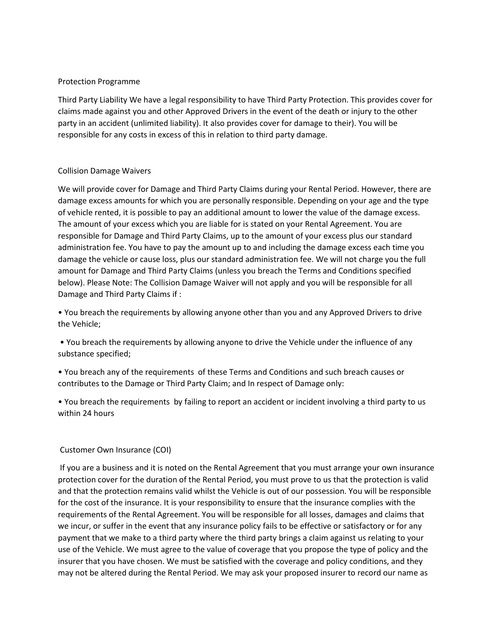# Protection Programme

Third Party Liability We have a legal responsibility to have Third Party Protection. This provides cover for claims made against you and other Approved Drivers in the event of the death or injury to the other party in an accident (unlimited liability). It also provides cover for damage to their). You will be responsible for any costs in excess of this in relation to third party damage.

# Collision Damage Waivers

We will provide cover for Damage and Third Party Claims during your Rental Period. However, there are damage excess amounts for which you are personally responsible. Depending on your age and the type of vehicle rented, it is possible to pay an additional amount to lower the value of the damage excess. The amount of your excess which you are liable for is stated on your Rental Agreement. You are responsible for Damage and Third Party Claims, up to the amount of your excess plus our standard administration fee. You have to pay the amount up to and including the damage excess each time you damage the vehicle or cause loss, plus our standard administration fee. We will not charge you the full amount for Damage and Third Party Claims (unless you breach the Terms and Conditions specified below). Please Note: The Collision Damage Waiver will not apply and you will be responsible for all Damage and Third Party Claims if :

• You breach the requirements by allowing anyone other than you and any Approved Drivers to drive the Vehicle;

• You breach the requirements by allowing anyone to drive the Vehicle under the influence of any substance specified;

• You breach any of the requirements of these Terms and Conditions and such breach causes or contributes to the Damage or Third Party Claim; and In respect of Damage only:

• You breach the requirements by failing to report an accident or incident involving a third party to us within 24 hours

# Customer Own Insurance (COI)

If you are a business and it is noted on the Rental Agreement that you must arrange your own insurance protection cover for the duration of the Rental Period, you must prove to us that the protection is valid and that the protection remains valid whilst the Vehicle is out of our possession. You will be responsible for the cost of the insurance. It is your responsibility to ensure that the insurance complies with the requirements of the Rental Agreement. You will be responsible for all losses, damages and claims that we incur, or suffer in the event that any insurance policy fails to be effective or satisfactory or for any payment that we make to a third party where the third party brings a claim against us relating to your use of the Vehicle. We must agree to the value of coverage that you propose the type of policy and the insurer that you have chosen. We must be satisfied with the coverage and policy conditions, and they may not be altered during the Rental Period. We may ask your proposed insurer to record our name as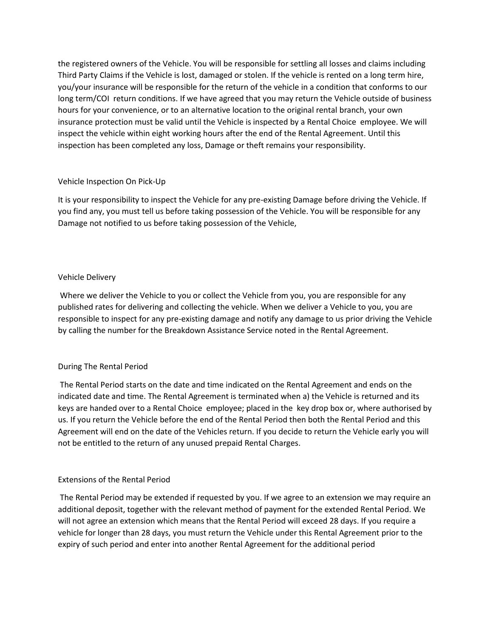the registered owners of the Vehicle. You will be responsible for settling all losses and claims including Third Party Claims if the Vehicle is lost, damaged or stolen. If the vehicle is rented on a long term hire, you/your insurance will be responsible for the return of the vehicle in a condition that conforms to our long term/COI return conditions. If we have agreed that you may return the Vehicle outside of business hours for your convenience, or to an alternative location to the original rental branch, your own insurance protection must be valid until the Vehicle is inspected by a Rental Choice employee. We will inspect the vehicle within eight working hours after the end of the Rental Agreement. Until this inspection has been completed any loss, Damage or theft remains your responsibility.

# Vehicle Inspection On Pick-Up

It is your responsibility to inspect the Vehicle for any pre-existing Damage before driving the Vehicle. If you find any, you must tell us before taking possession of the Vehicle. You will be responsible for any Damage not notified to us before taking possession of the Vehicle,

# Vehicle Delivery

Where we deliver the Vehicle to you or collect the Vehicle from you, you are responsible for any published rates for delivering and collecting the vehicle. When we deliver a Vehicle to you, you are responsible to inspect for any pre-existing damage and notify any damage to us prior driving the Vehicle by calling the number for the Breakdown Assistance Service noted in the Rental Agreement.

#### During The Rental Period

The Rental Period starts on the date and time indicated on the Rental Agreement and ends on the indicated date and time. The Rental Agreement is terminated when a) the Vehicle is returned and its keys are handed over to a Rental Choice employee; placed in the key drop box or, where authorised by us. If you return the Vehicle before the end of the Rental Period then both the Rental Period and this Agreement will end on the date of the Vehicles return. If you decide to return the Vehicle early you will not be entitled to the return of any unused prepaid Rental Charges.

### Extensions of the Rental Period

The Rental Period may be extended if requested by you. If we agree to an extension we may require an additional deposit, together with the relevant method of payment for the extended Rental Period. We will not agree an extension which means that the Rental Period will exceed 28 days. If you require a vehicle for longer than 28 days, you must return the Vehicle under this Rental Agreement prior to the expiry of such period and enter into another Rental Agreement for the additional period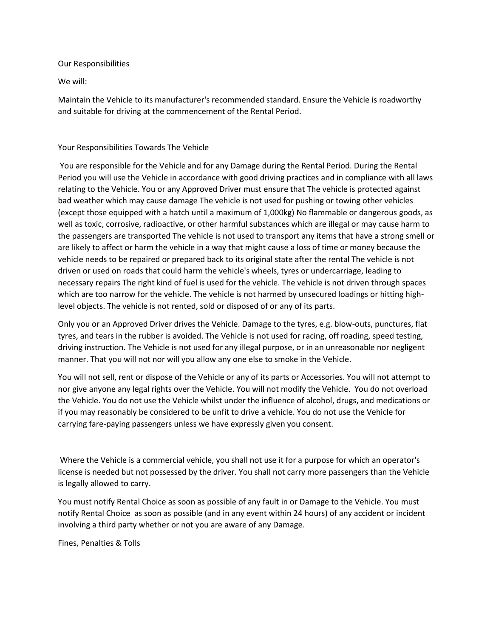### Our Responsibilities

We will:

Maintain the Vehicle to its manufacturer's recommended standard. Ensure the Vehicle is roadworthy and suitable for driving at the commencement of the Rental Period.

# Your Responsibilities Towards The Vehicle

You are responsible for the Vehicle and for any Damage during the Rental Period. During the Rental Period you will use the Vehicle in accordance with good driving practices and in compliance with all laws relating to the Vehicle. You or any Approved Driver must ensure that The vehicle is protected against bad weather which may cause damage The vehicle is not used for pushing or towing other vehicles (except those equipped with a hatch until a maximum of 1,000kg) No flammable or dangerous goods, as well as toxic, corrosive, radioactive, or other harmful substances which are illegal or may cause harm to the passengers are transported The vehicle is not used to transport any items that have a strong smell or are likely to affect or harm the vehicle in a way that might cause a loss of time or money because the vehicle needs to be repaired or prepared back to its original state after the rental The vehicle is not driven or used on roads that could harm the vehicle's wheels, tyres or undercarriage, leading to necessary repairs The right kind of fuel is used for the vehicle. The vehicle is not driven through spaces which are too narrow for the vehicle. The vehicle is not harmed by unsecured loadings or hitting highlevel objects. The vehicle is not rented, sold or disposed of or any of its parts.

Only you or an Approved Driver drives the Vehicle. Damage to the tyres, e.g. blow-outs, punctures, flat tyres, and tears in the rubber is avoided. The Vehicle is not used for racing, off roading, speed testing, driving instruction. The Vehicle is not used for any illegal purpose, or in an unreasonable nor negligent manner. That you will not nor will you allow any one else to smoke in the Vehicle.

You will not sell, rent or dispose of the Vehicle or any of its parts or Accessories. You will not attempt to nor give anyone any legal rights over the Vehicle. You will not modify the Vehicle. You do not overload the Vehicle. You do not use the Vehicle whilst under the influence of alcohol, drugs, and medications or if you may reasonably be considered to be unfit to drive a vehicle. You do not use the Vehicle for carrying fare-paying passengers unless we have expressly given you consent.

Where the Vehicle is a commercial vehicle, you shall not use it for a purpose for which an operator's license is needed but not possessed by the driver. You shall not carry more passengers than the Vehicle is legally allowed to carry.

You must notify Rental Choice as soon as possible of any fault in or Damage to the Vehicle. You must notify Rental Choice as soon as possible (and in any event within 24 hours) of any accident or incident involving a third party whether or not you are aware of any Damage.

Fines, Penalties & Tolls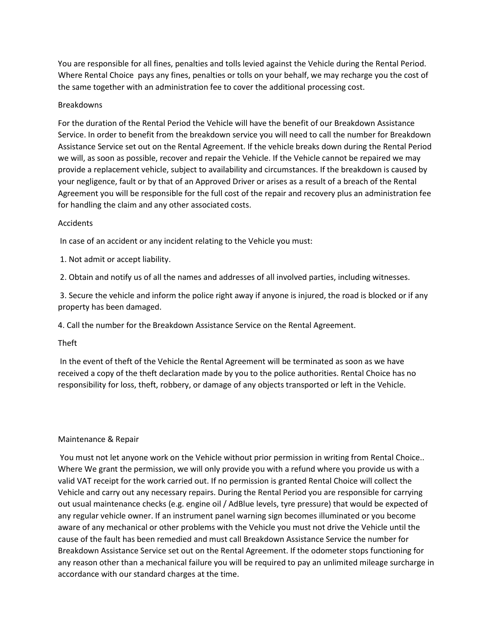You are responsible for all fines, penalties and tolls levied against the Vehicle during the Rental Period. Where Rental Choice pays any fines, penalties or tolls on your behalf, we may recharge you the cost of the same together with an administration fee to cover the additional processing cost.

# Breakdowns

For the duration of the Rental Period the Vehicle will have the benefit of our Breakdown Assistance Service. In order to benefit from the breakdown service you will need to call the number for Breakdown Assistance Service set out on the Rental Agreement. If the vehicle breaks down during the Rental Period we will, as soon as possible, recover and repair the Vehicle. If the Vehicle cannot be repaired we may provide a replacement vehicle, subject to availability and circumstances. If the breakdown is caused by your negligence, fault or by that of an Approved Driver or arises as a result of a breach of the Rental Agreement you will be responsible for the full cost of the repair and recovery plus an administration fee for handling the claim and any other associated costs.

### Accidents

In case of an accident or any incident relating to the Vehicle you must:

1. Not admit or accept liability.

2. Obtain and notify us of all the names and addresses of all involved parties, including witnesses.

3. Secure the vehicle and inform the police right away if anyone is injured, the road is blocked or if any property has been damaged.

4. Call the number for the Breakdown Assistance Service on the Rental Agreement.

Theft

In the event of theft of the Vehicle the Rental Agreement will be terminated as soon as we have received a copy of the theft declaration made by you to the police authorities. Rental Choice has no responsibility for loss, theft, robbery, or damage of any objects transported or left in the Vehicle.

# Maintenance & Repair

You must not let anyone work on the Vehicle without prior permission in writing from Rental Choice.. Where We grant the permission, we will only provide you with a refund where you provide us with a valid VAT receipt for the work carried out. If no permission is granted Rental Choice will collect the Vehicle and carry out any necessary repairs. During the Rental Period you are responsible for carrying out usual maintenance checks (e.g. engine oil / AdBlue levels, tyre pressure) that would be expected of any regular vehicle owner. If an instrument panel warning sign becomes illuminated or you become aware of any mechanical or other problems with the Vehicle you must not drive the Vehicle until the cause of the fault has been remedied and must call Breakdown Assistance Service the number for Breakdown Assistance Service set out on the Rental Agreement. If the odometer stops functioning for any reason other than a mechanical failure you will be required to pay an unlimited mileage surcharge in accordance with our standard charges at the time.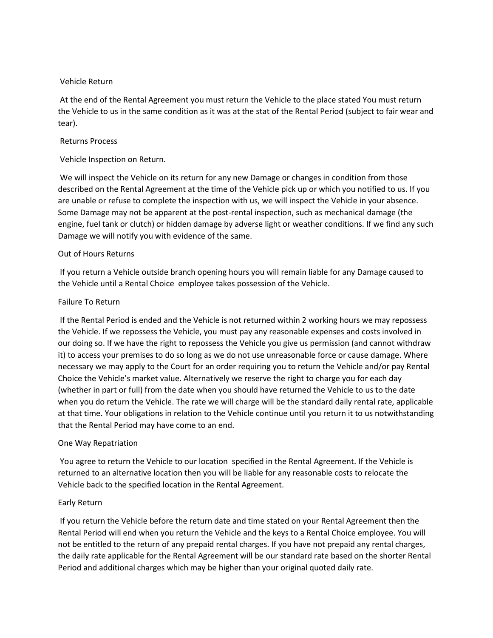## Vehicle Return

At the end of the Rental Agreement you must return the Vehicle to the place stated You must return the Vehicle to us in the same condition as it was at the stat of the Rental Period (subject to fair wear and tear).

## Returns Process

# Vehicle Inspection on Return.

We will inspect the Vehicle on its return for any new Damage or changes in condition from those described on the Rental Agreement at the time of the Vehicle pick up or which you notified to us. If you are unable or refuse to complete the inspection with us, we will inspect the Vehicle in your absence. Some Damage may not be apparent at the post-rental inspection, such as mechanical damage (the engine, fuel tank or clutch) or hidden damage by adverse light or weather conditions. If we find any such Damage we will notify you with evidence of the same.

# Out of Hours Returns

If you return a Vehicle outside branch opening hours you will remain liable for any Damage caused to the Vehicle until a Rental Choice employee takes possession of the Vehicle.

### Failure To Return

If the Rental Period is ended and the Vehicle is not returned within 2 working hours we may repossess the Vehicle. If we repossess the Vehicle, you must pay any reasonable expenses and costs involved in our doing so. If we have the right to repossess the Vehicle you give us permission (and cannot withdraw it) to access your premises to do so long as we do not use unreasonable force or cause damage. Where necessary we may apply to the Court for an order requiring you to return the Vehicle and/or pay Rental Choice the Vehicle's market value. Alternatively we reserve the right to charge you for each day (whether in part or full) from the date when you should have returned the Vehicle to us to the date when you do return the Vehicle. The rate we will charge will be the standard daily rental rate, applicable at that time. Your obligations in relation to the Vehicle continue until you return it to us notwithstanding that the Rental Period may have come to an end.

# One Way Repatriation

You agree to return the Vehicle to our location specified in the Rental Agreement. If the Vehicle is returned to an alternative location then you will be liable for any reasonable costs to relocate the Vehicle back to the specified location in the Rental Agreement.

# Early Return

If you return the Vehicle before the return date and time stated on your Rental Agreement then the Rental Period will end when you return the Vehicle and the keys to a Rental Choice employee. You will not be entitled to the return of any prepaid rental charges. If you have not prepaid any rental charges, the daily rate applicable for the Rental Agreement will be our standard rate based on the shorter Rental Period and additional charges which may be higher than your original quoted daily rate.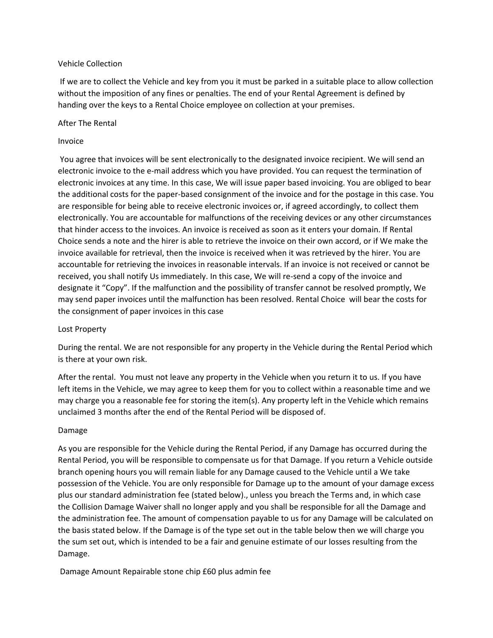## Vehicle Collection

If we are to collect the Vehicle and key from you it must be parked in a suitable place to allow collection without the imposition of any fines or penalties. The end of your Rental Agreement is defined by handing over the keys to a Rental Choice employee on collection at your premises.

## After The Rental

## Invoice

You agree that invoices will be sent electronically to the designated invoice recipient. We will send an electronic invoice to the e-mail address which you have provided. You can request the termination of electronic invoices at any time. In this case, We will issue paper based invoicing. You are obliged to bear the additional costs for the paper-based consignment of the invoice and for the postage in this case. You are responsible for being able to receive electronic invoices or, if agreed accordingly, to collect them electronically. You are accountable for malfunctions of the receiving devices or any other circumstances that hinder access to the invoices. An invoice is received as soon as it enters your domain. If Rental Choice sends a note and the hirer is able to retrieve the invoice on their own accord, or if We make the invoice available for retrieval, then the invoice is received when it was retrieved by the hirer. You are accountable for retrieving the invoices in reasonable intervals. If an invoice is not received or cannot be received, you shall notify Us immediately. In this case, We will re-send a copy of the invoice and designate it "Copy". If the malfunction and the possibility of transfer cannot be resolved promptly, We may send paper invoices until the malfunction has been resolved. Rental Choice will bear the costs for the consignment of paper invoices in this case

# Lost Property

During the rental. We are not responsible for any property in the Vehicle during the Rental Period which is there at your own risk.

After the rental. You must not leave any property in the Vehicle when you return it to us. If you have left items in the Vehicle, we may agree to keep them for you to collect within a reasonable time and we may charge you a reasonable fee for storing the item(s). Any property left in the Vehicle which remains unclaimed 3 months after the end of the Rental Period will be disposed of.

# Damage

As you are responsible for the Vehicle during the Rental Period, if any Damage has occurred during the Rental Period, you will be responsible to compensate us for that Damage. If you return a Vehicle outside branch opening hours you will remain liable for any Damage caused to the Vehicle until a We take possession of the Vehicle. You are only responsible for Damage up to the amount of your damage excess plus our standard administration fee (stated below)., unless you breach the Terms and, in which case the Collision Damage Waiver shall no longer apply and you shall be responsible for all the Damage and the administration fee. The amount of compensation payable to us for any Damage will be calculated on the basis stated below. If the Damage is of the type set out in the table below then we will charge you the sum set out, which is intended to be a fair and genuine estimate of our losses resulting from the Damage.

Damage Amount Repairable stone chip £60 plus admin fee